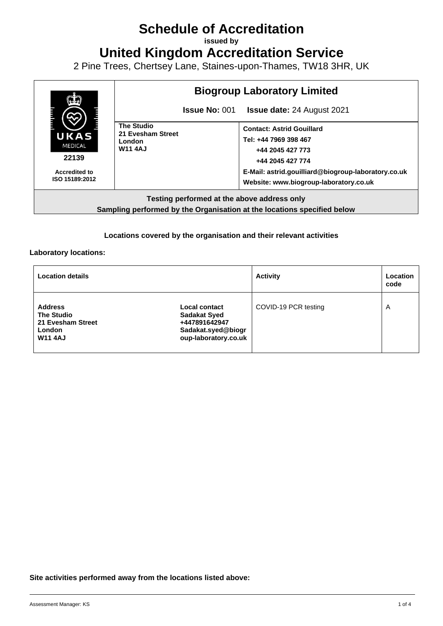# **Schedule of Accreditation**

**issued by**

**United Kingdom Accreditation Service**

2 Pine Trees, Chertsey Lane, Staines-upon-Thames, TW18 3HR, UK



**Sampling performed by the Organisation at the locations specified below**

#### **Locations covered by the organisation and their relevant activities**

**Laboratory locations:**

| <b>Location details</b>                                                                     |                                                                                                     | <b>Activity</b>      | Location<br>code        |
|---------------------------------------------------------------------------------------------|-----------------------------------------------------------------------------------------------------|----------------------|-------------------------|
| <b>Address</b><br><b>The Studio</b><br>21 Evesham Street<br><b>London</b><br><b>W11 4AJ</b> | Local contact<br><b>Sadakat Syed</b><br>+447891642947<br>Sadakat.syed@biogr<br>oup-laboratory.co.uk | COVID-19 PCR testing | $\overline{\mathsf{A}}$ |

#### **Site activities performed away from the locations listed above:**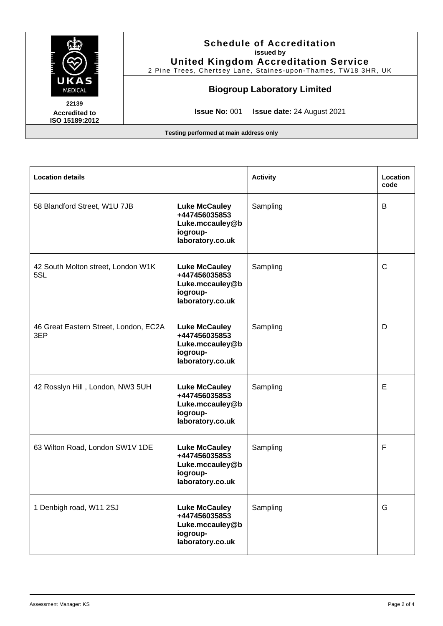

| <b>Location details</b>                      |                                                                                          | <b>Activity</b> | Location<br>code |
|----------------------------------------------|------------------------------------------------------------------------------------------|-----------------|------------------|
| 58 Blandford Street, W1U 7JB                 | <b>Luke McCauley</b><br>+447456035853<br>Luke.mccauley@b<br>iogroup-<br>laboratory.co.uk | Sampling        | B                |
| 42 South Molton street, London W1K<br>5SL    | <b>Luke McCauley</b><br>+447456035853<br>Luke.mccauley@b<br>iogroup-<br>laboratory.co.uk | Sampling        | C                |
| 46 Great Eastern Street, London, EC2A<br>3EP | <b>Luke McCauley</b><br>+447456035853<br>Luke.mccauley@b<br>iogroup-<br>laboratory.co.uk | Sampling        | D                |
| 42 Rosslyn Hill, London, NW3 5UH             | <b>Luke McCauley</b><br>+447456035853<br>Luke.mccauley@b<br>iogroup-<br>laboratory.co.uk | Sampling        | Е                |
| 63 Wilton Road, London SW1V 1DE              | <b>Luke McCauley</b><br>+447456035853<br>Luke.mccauley@b<br>iogroup-<br>laboratory.co.uk | Sampling        | F                |
| 1 Denbigh road, W11 2SJ                      | <b>Luke McCauley</b><br>+447456035853<br>Luke.mccauley@b<br>iogroup-<br>laboratory.co.uk | Sampling        | G                |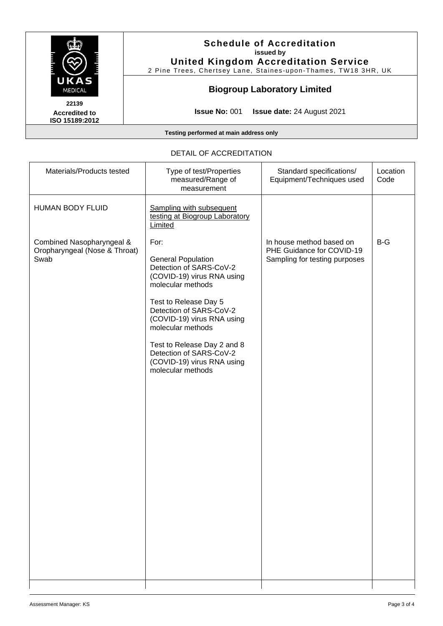

| DETAIL OF ACCREDITATION                                            |                                                                                                                                                                                                                                                                                                                                     |                                                                                        |                  |  |  |
|--------------------------------------------------------------------|-------------------------------------------------------------------------------------------------------------------------------------------------------------------------------------------------------------------------------------------------------------------------------------------------------------------------------------|----------------------------------------------------------------------------------------|------------------|--|--|
| Materials/Products tested                                          | Type of test/Properties<br>measured/Range of<br>measurement                                                                                                                                                                                                                                                                         | Standard specifications/<br>Equipment/Techniques used                                  | Location<br>Code |  |  |
| HUMAN BODY FLUID                                                   | <b>Sampling with subsequent</b><br>testing at Biogroup Laboratory<br>Limited                                                                                                                                                                                                                                                        |                                                                                        |                  |  |  |
| Combined Nasopharyngeal &<br>Oropharyngeal (Nose & Throat)<br>Swab | For:<br><b>General Population</b><br>Detection of SARS-CoV-2<br>(COVID-19) virus RNA using<br>molecular methods<br>Test to Release Day 5<br>Detection of SARS-CoV-2<br>(COVID-19) virus RNA using<br>molecular methods<br>Test to Release Day 2 and 8<br>Detection of SARS-CoV-2<br>(COVID-19) virus RNA using<br>molecular methods | In house method based on<br>PHE Guidance for COVID-19<br>Sampling for testing purposes | $B-G$            |  |  |
|                                                                    |                                                                                                                                                                                                                                                                                                                                     |                                                                                        |                  |  |  |

## DETAIL OF ACCREDITATION